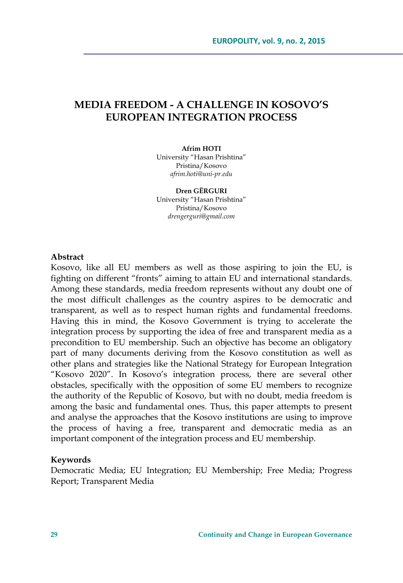# **MEDIA FREEDOM - A CHALLENGE IN KOSOVO'S EUROPEAN INTEGRATION PROCESS**

#### **Afrim HOTI**

University "Hasan Prishtina" Pristina/Kosovo *afrim.hoti@uni-pr.edu* 

**Dren GËRGURI**  University "Hasan Prishtina" Pristina/Kosovo *drengerguri@gmail.com* 

### **Abstract**

Kosovo, like all EU members as well as those aspiring to join the EU, is fighting on different "fronts" aiming to attain EU and international standards. Among these standards, media freedom represents without any doubt one of the most difficult challenges as the country aspires to be democratic and transparent, as well as to respect human rights and fundamental freedoms. Having this in mind, the Kosovo Government is trying to accelerate the integration process by supporting the idea of free and transparent media as a precondition to EU membership. Such an objective has become an obligatory part of many documents deriving from the Kosovo constitution as well as other plans and strategies like the National Strategy for European Integration "Kosovo 2020". In Kosovo's integration process, there are several other obstacles, specifically with the opposition of some EU members to recognize the authority of the Republic of Kosovo, but with no doubt, media freedom is among the basic and fundamental ones. Thus, this paper attempts to present and analyse the approaches that the Kosovo institutions are using to improve the process of having a free, transparent and democratic media as an important component of the integration process and EU membership.

### **Keywords**

Democratic Media; EU Integration; EU Membership; Free Media; Progress Report; Transparent Media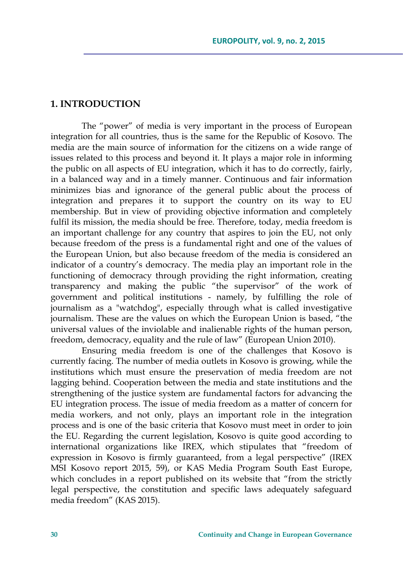# **1. INTRODUCTION**

The "power" of media is very important in the process of European integration for all countries, thus is the same for the Republic of Kosovo. The media are the main source of information for the citizens on a wide range of issues related to this process and beyond it. It plays a major role in informing the public on all aspects of EU integration, which it has to do correctly, fairly, in a balanced way and in a timely manner. Continuous and fair information minimizes bias and ignorance of the general public about the process of integration and prepares it to support the country on its way to EU membership. But in view of providing objective information and completely fulfil its mission, the media should be free. Therefore, today, media freedom is an important challenge for any country that aspires to join the EU, not only because freedom of the press is a fundamental right and one of the values of the European Union, but also because freedom of the media is considered an indicator of a country's democracy. The media play an important role in the functioning of democracy through providing the right information, creating transparency and making the public "the supervisor" of the work of government and political institutions - namely, by fulfilling the role of journalism as a "watchdog", especially through what is called investigative journalism. These are the values on which the European Union is based, "the universal values of the inviolable and inalienable rights of the human person, freedom, democracy, equality and the rule of law" (European Union 2010).

Ensuring media freedom is one of the challenges that Kosovo is currently facing. The number of media outlets in Kosovo is growing, while the institutions which must ensure the preservation of media freedom are not lagging behind. Cooperation between the media and state institutions and the strengthening of the justice system are fundamental factors for advancing the EU integration process. The issue of media freedom as a matter of concern for media workers, and not only, plays an important role in the integration process and is one of the basic criteria that Kosovo must meet in order to join the EU. Regarding the current legislation, Kosovo is quite good according to international organizations like IREX, which stipulates that "freedom of expression in Kosovo is firmly guaranteed, from a legal perspective" (IREX MSI Kosovo report 2015, 59), or KAS Media Program South East Europe, which concludes in a report published on its website that "from the strictly legal perspective, the constitution and specific laws adequately safeguard media freedom" (KAS 2015).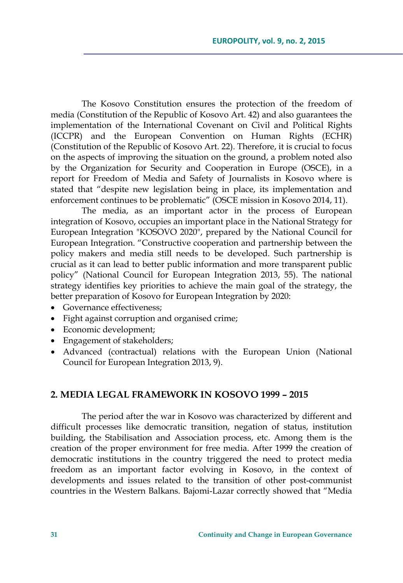The Kosovo Constitution ensures the protection of the freedom of media (Constitution of the Republic of Kosovo Art. 42) and also guarantees the implementation of the International Covenant on Civil and Political Rights (ICCPR) and the European Convention on Human Rights (ECHR) (Constitution of the Republic of Kosovo Art. 22). Therefore, it is crucial to focus on the aspects of improving the situation on the ground, a problem noted also by the Organization for Security and Cooperation in Europe (OSCE), in a report for Freedom of Media and Safety of Journalists in Kosovo where is stated that "despite new legislation being in place, its implementation and enforcement continues to be problematic" (OSCE mission in Kosovo 2014, 11).

The media, as an important actor in the process of European integration of Kosovo, occupies an important place in the National Strategy for European Integration "KOSOVO 2020", prepared by the National Council for European Integration. "Constructive cooperation and partnership between the policy makers and media still needs to be developed. Such partnership is crucial as it can lead to better public information and more transparent public policy" (National Council for European Integration 2013, 55). The national strategy identifies key priorities to achieve the main goal of the strategy, the better preparation of Kosovo for European Integration by 2020:

- Governance effectiveness;
- Fight against corruption and organised crime;
- Economic development;
- Engagement of stakeholders;
- Advanced (contractual) relations with the European Union (National Council for European Integration 2013, 9).

### **2. MEDIA LEGAL FRAMEWORK IN KOSOVO 1999 – 2015**

The period after the war in Kosovo was characterized by different and difficult processes like democratic transition, negation of status, institution building, the Stabilisation and Association process, etc. Among them is the creation of the proper environment for free media. After 1999 the creation of democratic institutions in the country triggered the need to protect media freedom as an important factor evolving in Kosovo, in the context of developments and issues related to the transition of other post-communist countries in the Western Balkans. Bajomi-Lazar correctly showed that "Media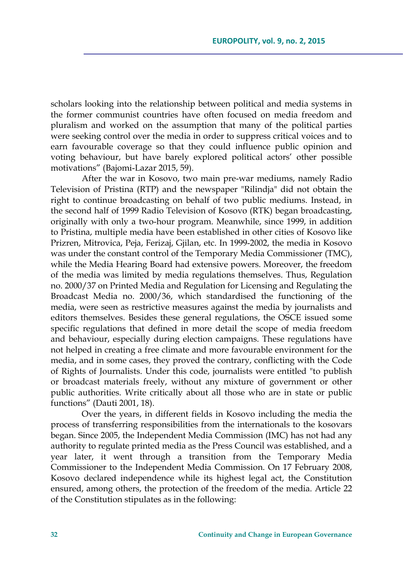scholars looking into the relationship between political and media systems in the former communist countries have often focused on media freedom and pluralism and worked on the assumption that many of the political parties were seeking control over the media in order to suppress critical voices and to earn favourable coverage so that they could influence public opinion and voting behaviour, but have barely explored political actors' other possible motivations" (Bajomi-Lazar 2015, 59).

After the war in Kosovo, two main pre-war mediums, namely Radio Television of Pristina (RTP) and the newspaper "Rilindja" did not obtain the right to continue broadcasting on behalf of two public mediums. Instead, in the second half of 1999 Radio Television of Kosovo (RTK) began broadcasting, originally with only a two-hour program. Meanwhile, since 1999, in addition to Pristina, multiple media have been established in other cities of Kosovo like Prizren, Mitrovica, Peja, Ferizaj, Gjilan, etc. In 1999-2002, the media in Kosovo was under the constant control of the Temporary Media Commissioner (TMC), while the Media Hearing Board had extensive powers. Moreover, the freedom of the media was limited by media regulations themselves. Thus, Regulation no. 2000/37 on Printed Media and Regulation for Licensing and Regulating the Broadcast Media no. 2000/36, which standardised the functioning of the media, were seen as restrictive measures against the media by journalists and editors themselves. Besides these general regulations, the OSCE issued some specific regulations that defined in more detail the scope of media freedom and behaviour, especially during election campaigns. These regulations have not helped in creating a free climate and more favourable environment for the media, and in some cases, they proved the contrary, conflicting with the Code of Rights of Journalists. Under this code, journalists were entitled "to publish or broadcast materials freely, without any mixture of government or other public authorities. Write critically about all those who are in state or public functions" (Dauti 2001, 18).

Over the years, in different fields in Kosovo including the media the process of transferring responsibilities from the internationals to the kosovars began. Since 2005, the Independent Media Commission (IMC) has not had any authority to regulate printed media as the Press Council was established, and a year later, it went through a transition from the Temporary Media Commissioner to the Independent Media Commission. On 17 February 2008, Kosovo declared independence while its highest legal act, the Constitution ensured, among others, the protection of the freedom of the media. Article 22 of the Constitution stipulates as in the following: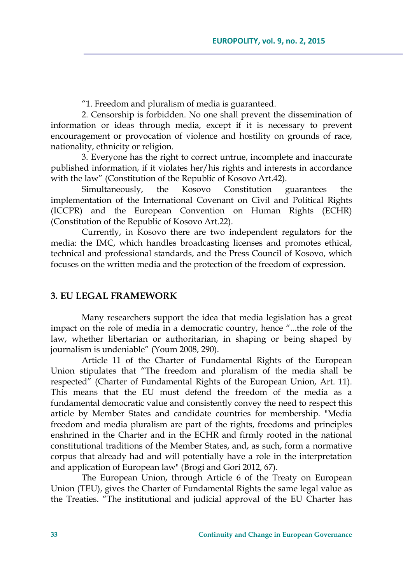"1. Freedom and pluralism of media is guaranteed.

2. Censorship is forbidden. No one shall prevent the dissemination of information or ideas through media, except if it is necessary to prevent encouragement or provocation of violence and hostility on grounds of race, nationality, ethnicity or religion.

3. Everyone has the right to correct untrue, incomplete and inaccurate published information, if it violates her/his rights and interests in accordance with the law" (Constitution of the Republic of Kosovo Art.42).

Simultaneously, the Kosovo Constitution guarantees the implementation of the International Covenant on Civil and Political Rights (ICCPR) and the European Convention on Human Rights (ECHR) (Constitution of the Republic of Kosovo Art.22).

Currently, in Kosovo there are two independent regulators for the media: the IMC, which handles broadcasting licenses and promotes ethical, technical and professional standards, and the Press Council of Kosovo, which focuses on the written media and the protection of the freedom of expression.

### **3. EU LEGAL FRAMEWORK**

Many researchers support the idea that media legislation has a great impact on the role of media in a democratic country, hence "...the role of the law, whether libertarian or authoritarian, in shaping or being shaped by journalism is undeniable" (Youm 2008, 290).

Article 11 of the Charter of Fundamental Rights of the European Union stipulates that "The freedom and pluralism of the media shall be respected" (Charter of Fundamental Rights of the European Union, Art. 11). This means that the EU must defend the freedom of the media as a fundamental democratic value and consistently convey the need to respect this article by Member States and candidate countries for membership. "Media freedom and media pluralism are part of the rights, freedoms and principles enshrined in the Charter and in the ECHR and firmly rooted in the national constitutional traditions of the Member States, and, as such, form a normative corpus that already had and will potentially have a role in the interpretation and application of European law" (Brogi and Gori 2012, 67).

The European Union, through Article 6 of the Treaty on European Union (TEU), gives the Charter of Fundamental Rights the same legal value as the Treaties. "The institutional and judicial approval of the EU Charter has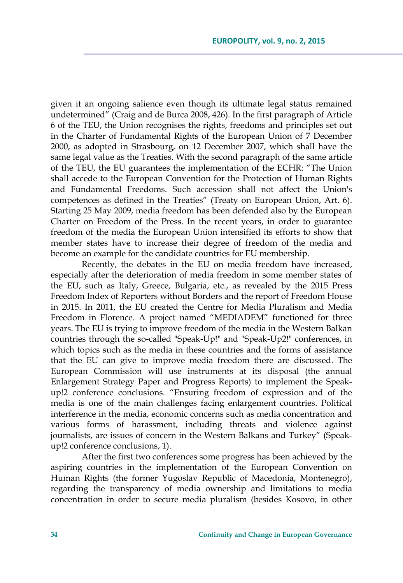given it an ongoing salience even though its ultimate legal status remained undetermined" (Craig and de Burca 2008, 426). In the first paragraph of Article 6 of the TEU, the Union recognises the rights, freedoms and principles set out in the Charter of Fundamental Rights of the European Union of 7 December 2000, as adopted in Strasbourg, on 12 December 2007, which shall have the same legal value as the Treaties. With the second paragraph of the same article of the TEU, the EU guarantees the implementation of the ECHR: "The Union shall accede to the European Convention for the Protection of Human Rights and Fundamental Freedoms. Such accession shall not affect the Union's competences as defined in the Treaties" (Treaty on European Union, Art. 6). Starting 25 May 2009, media freedom has been defended also by the European Charter on Freedom of the Press. In the recent years, in order to guarantee freedom of the media the European Union intensified its efforts to show that member states have to increase their degree of freedom of the media and become an example for the candidate countries for EU membership.

Recently, the debates in the EU on media freedom have increased, especially after the deterioration of media freedom in some member states of the EU, such as Italy, Greece, Bulgaria, etc., as revealed by the 2015 Press Freedom Index of Reporters without Borders and the report of Freedom House in 2015. In 2011, the EU created the Centre for Media Pluralism and Media Freedom in Florence. A project named "MEDIADEM" functioned for three years. The EU is trying to improve freedom of the media in the Western Balkan countries through the so-called "Speak-Up!" and "Speak-Up2!" conferences, in which topics such as the media in these countries and the forms of assistance that the EU can give to improve media freedom there are discussed. The European Commission will use instruments at its disposal (the annual Enlargement Strategy Paper and Progress Reports) to implement the Speakup!2 conference conclusions. "Ensuring freedom of expression and of the media is one of the main challenges facing enlargement countries. Political interference in the media, economic concerns such as media concentration and various forms of harassment, including threats and violence against journalists, are issues of concern in the Western Balkans and Turkey" (Speakup!2 conference conclusions, 1).

After the first two conferences some progress has been achieved by the aspiring countries in the implementation of the European Convention on Human Rights (the former Yugoslav Republic of Macedonia, Montenegro), regarding the transparency of media ownership and limitations to media concentration in order to secure media pluralism (besides Kosovo, in other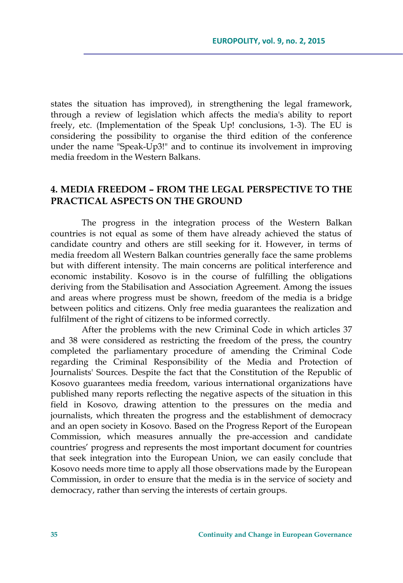states the situation has improved), in strengthening the legal framework, through a review of legislation which affects the media's ability to report freely, etc. (Implementation of the Speak Up! conclusions, 1-3). The EU is considering the possibility to organise the third edition of the conference under the name "Speak-Up3!" and to continue its involvement in improving media freedom in the Western Balkans.

# **4. MEDIA FREEDOM – FROM THE LEGAL PERSPECTIVE TO THE PRACTICAL ASPECTS ON THE GROUND**

The progress in the integration process of the Western Balkan countries is not equal as some of them have already achieved the status of candidate country and others are still seeking for it. However, in terms of media freedom all Western Balkan countries generally face the same problems but with different intensity. The main concerns are political interference and economic instability. Kosovo is in the course of fulfilling the obligations deriving from the Stabilisation and Association Agreement. Among the issues and areas where progress must be shown, freedom of the media is a bridge between politics and citizens. Only free media guarantees the realization and fulfilment of the right of citizens to be informed correctly.

After the problems with the new Criminal Code in which articles 37 and 38 were considered as restricting the freedom of the press, the country completed the parliamentary procedure of amending the Criminal Code regarding the Criminal Responsibility of the Media and Protection of Journalists' Sources. Despite the fact that the Constitution of the Republic of Kosovo guarantees media freedom, various international organizations have published many reports reflecting the negative aspects of the situation in this field in Kosovo, drawing attention to the pressures on the media and journalists, which threaten the progress and the establishment of democracy and an open society in Kosovo. Based on the Progress Report of the European Commission, which measures annually the pre-accession and candidate countries' progress and represents the most important document for countries that seek integration into the European Union, we can easily conclude that Kosovo needs more time to apply all those observations made by the European Commission, in order to ensure that the media is in the service of society and democracy, rather than serving the interests of certain groups.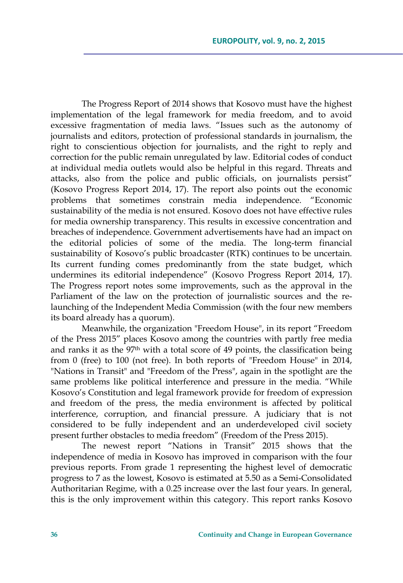The Progress Report of 2014 shows that Kosovo must have the highest implementation of the legal framework for media freedom, and to avoid excessive fragmentation of media laws. "Issues such as the autonomy of journalists and editors, protection of professional standards in journalism, the right to conscientious objection for journalists, and the right to reply and correction for the public remain unregulated by law. Editorial codes of conduct at individual media outlets would also be helpful in this regard. Threats and attacks, also from the police and public officials, on journalists persist" (Kosovo Progress Report 2014, 17). The report also points out the economic problems that sometimes constrain media independence. "Economic sustainability of the media is not ensured. Kosovo does not have effective rules for media ownership transparency. This results in excessive concentration and breaches of independence. Government advertisements have had an impact on the editorial policies of some of the media. The long-term financial sustainability of Kosovo's public broadcaster (RTK) continues to be uncertain. Its current funding comes predominantly from the state budget, which undermines its editorial independence" (Kosovo Progress Report 2014, 17). The Progress report notes some improvements, such as the approval in the Parliament of the law on the protection of journalistic sources and the relaunching of the Independent Media Commission (with the four new members its board already has a quorum).

Meanwhile, the organization "Freedom House", in its report "Freedom of the Press 2015" places Kosovo among the countries with partly free media and ranks it as the 97th with a total score of 49 points, the classification being from 0 (free) to 100 (not free). In both reports of "Freedom House" in 2014, "Nations in Transit" and "Freedom of the Press", again in the spotlight are the same problems like political interference and pressure in the media. "While Kosovo's Constitution and legal framework provide for freedom of expression and freedom of the press, the media environment is affected by political interference, corruption, and financial pressure. A judiciary that is not considered to be fully independent and an underdeveloped civil society present further obstacles to media freedom" (Freedom of the Press 2015).

The newest report "Nations in Transit" 2015 shows that the independence of media in Kosovo has improved in comparison with the four previous reports. From grade 1 representing the highest level of democratic progress to 7 as the lowest, Kosovo is estimated at 5.50 as a Semi-Consolidated Authoritarian Regime, with a 0.25 increase over the last four years. In general, this is the only improvement within this category. This report ranks Kosovo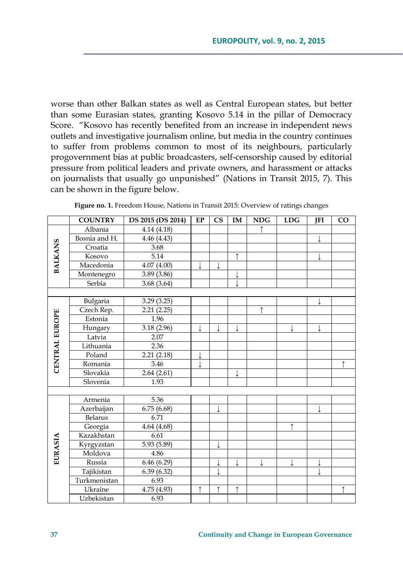worse than other Balkan states as well as Central European states, but better than some Eurasian states, granting Kosovo 5.14 in the pillar of Democracy Score. "Kosovo has recently benefited from an increase in independent news outlets and investigative journalism online, but media in the country continues to suffer from problems common to most of its neighbours, particularly progovernment bias at public broadcasters, self-censorship caused by editorial pressure from political leaders and private owners, and harassment or attacks on journalists that usually go unpunished" (Nations in Transit 2015, 7). This can be shown in the figure below.

|                | <b>COUNTRY</b> | DS 2015 (DS 2014) | EP | $\mathbf{C}\mathbf{S}$ | IM         | <b>NDG</b> | <b>LDG</b> | JFI | CO         |
|----------------|----------------|-------------------|----|------------------------|------------|------------|------------|-----|------------|
| <b>BALKANS</b> | Albania        | 4.14 (4.18)       |    |                        |            | ↑          |            |     |            |
|                | Bosnia and H.  | 4.46 (4.43)       |    |                        |            |            |            |     |            |
|                | Croatia        | 3.68              |    |                        |            |            |            |     |            |
|                | Kosovo         | 5.14              |    |                        | ↑          |            |            |     |            |
|                | Macedonia      | 4.07(4.00)        |    |                        |            |            |            |     |            |
|                | Montenegro     | 3.89 (3.86)       |    |                        | ↓          |            |            |     |            |
|                | Serbia         | 3.68(3.64)        |    |                        |            |            |            |     |            |
|                |                |                   |    |                        |            |            |            |     |            |
|                | Bulgaria       | 3.29(3.25)        |    |                        |            |            |            |     |            |
|                | Czech Rep.     | 2.21(2.25)        |    |                        |            | ↑          |            |     |            |
|                | Estonia        | 1.96              |    |                        |            |            |            |     |            |
| CENTRAL EUROPE | Hungary        | 3.18(2.96)        |    |                        | ↓          |            |            |     |            |
|                | Latvia         | 2.07              |    |                        |            |            |            |     |            |
|                | Lithuania      | 2.36              |    |                        |            |            |            |     |            |
|                | Poland         | 2.21(2.18)        | ↓  |                        |            |            |            |     |            |
|                | Romania        | 3.46              |    |                        |            |            |            |     |            |
|                | Slovakia       | 2.64(2.61)        |    |                        | ↓          |            |            |     |            |
|                | Slovenia       | 1.93              |    |                        |            |            |            |     |            |
|                |                |                   |    |                        |            |            |            |     |            |
|                | Armenia        | 5.36              |    |                        |            |            |            |     |            |
|                | Azerbaijan     | 6.75(6.68)        |    |                        |            |            |            |     |            |
|                | Belarus        | 6.71              |    |                        |            |            |            |     |            |
|                | Georgia        | 4.64 (4.68)       |    |                        |            |            | ↑          |     |            |
|                | Kazakhstan     | 6.61              |    |                        |            |            |            |     |            |
|                | Kyrgyzstan     | 5.93 (5.89)       |    |                        |            |            |            |     |            |
| EURASIA        | Moldova        | 4.86              |    |                        |            |            |            |     |            |
|                | Russia         | 6.46(6.29)        |    |                        | ↓          |            |            | ↓   |            |
|                | Tajikistan     | 6.39(6.32)        |    |                        |            |            |            |     |            |
|                | Turkmenistan   | 6.93              |    |                        |            |            |            |     |            |
|                | Ukraine        | 4.75 (4.93)       | ↑  | $\uparrow$             | $\uparrow$ |            |            |     | $\uparrow$ |
|                | Uzbekistan     | 6.93              |    |                        |            |            |            |     |            |

**Figure no. 1.** Freedom House, Nations in Transit 2015: Overview of ratings changes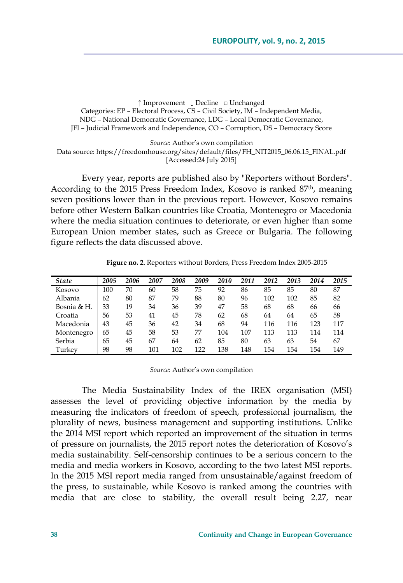**↑** Improvement **↓** Decline □ Unchanged Categories: EP – Electoral Process, CS – Civil Society, IM – Independent Media, NDG – National Democratic Governance, LDG – Local Democratic Governance, JFI – Judicial Framework and Independence, CO – Corruption, DS – Democracy Score

*Source*: Author's own compilation Data source: https://freedomhouse.org/sites/default/files/FH\_NIT2015\_06.06.15\_FINAL.pdf [Accessed:24 July 2015]

Every year, reports are published also by "Reporters without Borders". According to the 2015 Press Freedom Index, Kosovo is ranked 87<sup>th</sup>, meaning seven positions lower than in the previous report. However, Kosovo remains before other Western Balkan countries like Croatia, Montenegro or Macedonia where the media situation continues to deteriorate, or even higher than some European Union member states, such as Greece or Bulgaria. The following figure reflects the data discussed above.

**Figure no. 2**. Reporters without Borders, Press Freedom Index 2005-2015

| <b>State</b> | 2005 | 2006 | 2007 | 2008 | 2009 | 2010 | 2011 | 2012 | 2013 | 2014 | 2015 |
|--------------|------|------|------|------|------|------|------|------|------|------|------|
| Kosovo       | 100  | 70   | 60   | 58   | 75   | 92   | 86   | 85   | 85   | 80   | 87   |
| Albania      | 62   | 80   | 87   | 79   | 88   | 80   | 96   | 102  | 102  | 85   | 82   |
| Bosnia & H.  | 33   | 19   | 34   | 36   | 39   | 47   | 58   | 68   | 68   | 66   | 66   |
| Croatia      | 56   | 53   | 41   | 45   | 78   | 62   | 68   | 64   | 64   | 65   | 58   |
| Macedonia    | 43   | 45   | 36   | 42   | 34   | 68   | 94   | 116  | 116  | 123  | 117  |
| Montenegro   | 65   | 45   | 58   | 53   | 77   | 104  | 107  | 113  | 113  | 114  | 114  |
| Serbia       | 65   | 45   | 67   | 64   | 62   | 85   | 80   | 63   | 63   | 54   | 67   |
| Turkey       | 98   | 98   | 101  | 102  | 122  | 138  | 148  | 154  | 154  | 154  | 149  |

*Source*: Author's own compilation

The Media Sustainability Index of the IREX organisation (MSI) assesses the level of providing objective information by the media by measuring the indicators of freedom of speech, professional journalism, the plurality of news, business management and supporting institutions. Unlike the 2014 MSI report which reported an improvement of the situation in terms of pressure on journalists, the 2015 report notes the deterioration of Kosovo's media sustainability. Self-censorship continues to be a serious concern to the media and media workers in Kosovo, according to the two latest MSI reports. In the 2015 MSI report media ranged from unsustainable/against freedom of the press, to sustainable, while Kosovo is ranked among the countries with media that are close to stability, the overall result being 2.27, near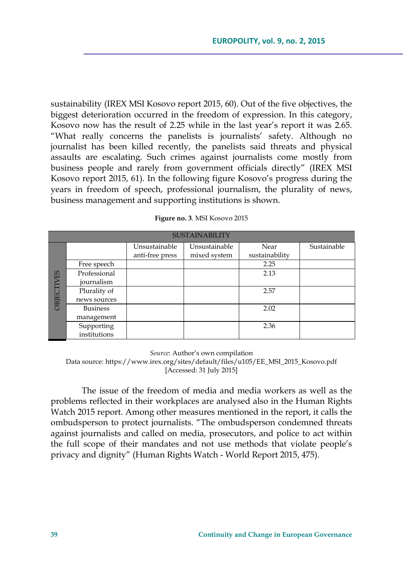sustainability (IREX MSI Kosovo report 2015, 60). Out of the five objectives, the biggest deterioration occurred in the freedom of expression. In this category, Kosovo now has the result of 2.25 while in the last year's report it was 2.65. "What really concerns the panelists is journalists' safety. Although no journalist has been killed recently, the panelists said threats and physical assaults are escalating. Such crimes against journalists come mostly from business people and rarely from government officials directly" (IREX MSI Kosovo report 2015, 61). In the following figure Kosovo's progress during the years in freedom of speech, professional journalism, the plurality of news, business management and supporting institutions is shown.

|             | <b>SUSTAINABILITY</b> |                 |               |                |             |  |  |  |  |  |
|-------------|-----------------------|-----------------|---------------|----------------|-------------|--|--|--|--|--|
|             |                       | Unsustainable   | Unsustainable | Near           | Sustainable |  |  |  |  |  |
| ES<br>OBJEC |                       | anti-free press | mixed system  | sustainability |             |  |  |  |  |  |
|             | Free speech           |                 |               | 2.25           |             |  |  |  |  |  |
|             | Professional          |                 |               | 2.13           |             |  |  |  |  |  |
|             | journalism            |                 |               |                |             |  |  |  |  |  |
|             | Plurality of          |                 |               | 2.57           |             |  |  |  |  |  |
|             | news sources          |                 |               |                |             |  |  |  |  |  |
|             | <b>Business</b>       |                 |               | 2.02           |             |  |  |  |  |  |
|             | management            |                 |               |                |             |  |  |  |  |  |
|             | Supporting            |                 |               | 2.36           |             |  |  |  |  |  |
|             | institutions          |                 |               |                |             |  |  |  |  |  |

| Figure no. 3. MSI Kosovo 2015 |  |  |  |
|-------------------------------|--|--|--|
|-------------------------------|--|--|--|

*Source*: Author's own compilation

Data source: https://www.irex.org/sites/default/files/u105/EE\_MSI\_2015\_Kosovo.pdf [Accessed: 31 July 2015]

The issue of the freedom of media and media workers as well as the problems reflected in their workplaces are analysed also in the Human Rights Watch 2015 report. Among other measures mentioned in the report, it calls the ombudsperson to protect journalists. "The ombudsperson condemned threats against journalists and called on media, prosecutors, and police to act within the full scope of their mandates and not use methods that violate people's privacy and dignity" (Human Rights Watch - World Report 2015, 475).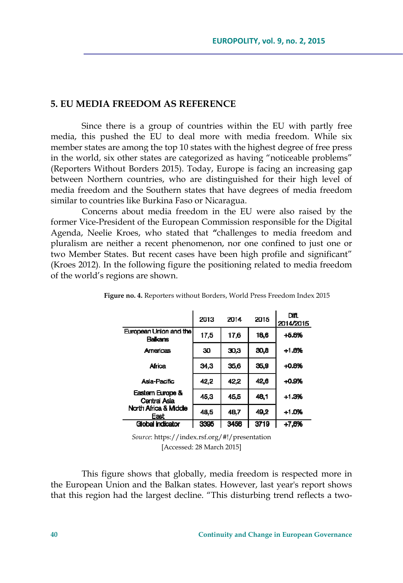## **5. EU MEDIA FREEDOM AS REFERENCE**

Since there is a group of countries within the EU with partly free media, this pushed the EU to deal more with media freedom. While six member states are among the top 10 states with the highest degree of free press in the world, six other states are categorized as having "noticeable problems" (Reporters Without Borders 2015). Today, Europe is facing an increasing gap between Northern countries, who are distinguished for their high level of media freedom and the Southern states that have degrees of media freedom similar to countries like Burkina Faso or Nicaragua.

Concerns about media freedom in the EU were also raised by the former Vice-President of the European Commission responsible for the Digital Agenda, Neelie Kroes, who stated that **"**challenges to media freedom and pluralism are neither a recent phenomenon, nor one confined to just one or two Member States. But recent cases have been high profile and significant" (Kroes 2012). In the following figure the positioning related to media freedom of the world's regions are shown.

|                                           | 2013 | 2014 | 2015 | Diff.<br>2014/2015 |
|-------------------------------------------|------|------|------|--------------------|
| European Union and the<br><b>Balkaris</b> | 17,5 | 17.6 | 16,6 | $+5.6%$            |
| <b>Americas</b>                           | 30   | 30,3 | 30,8 | $+1.8%$            |
| <b>Africa</b>                             | 34.3 | 35,6 | 35,9 | $+0.8%$            |
| Asia-Pacific                              | 42,2 | 42.2 | 42.6 | $+0.9%$            |
| Eastern Europe &<br>Central Asia          | 45.3 | 45.5 | 46.1 | $+1.3%$            |
| North Africa & Middle<br>East             | 48,5 | 48.7 | 49.2 | $+1.0%$            |
| Global indicator                          | 3395 | 3456 | 3719 | $+7,6%$            |

**Figure no. 4.** Reporters without Borders, World Press Freedom Index 2015

*Source*: https://index.rsf.org/#!/presentation [Accessed: 28 March 2015]

This figure shows that globally, media freedom is respected more in the European Union and the Balkan states. However, last year's report shows that this region had the largest decline. "This disturbing trend reflects a two-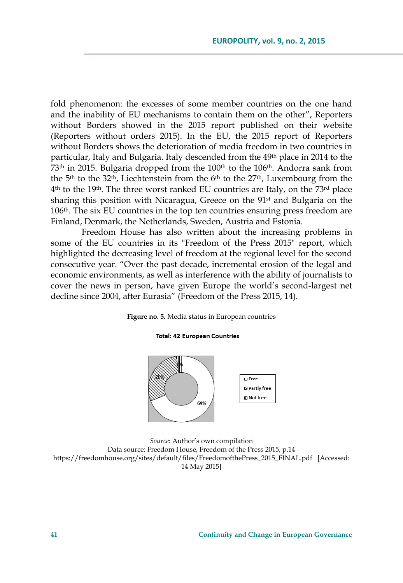fold phenomenon: the excesses of some member countries on the one hand and the inability of EU mechanisms to contain them on the other", Reporters without Borders showed in the 2015 report published on their website (Reporters without orders 2015). In the EU, the 2015 report of Reporters without Borders shows the deterioration of media freedom in two countries in particular, Italy and Bulgaria. Italy descended from the 49<sup>th</sup> place in 2014 to the 73<sup>th</sup> in 2015. Bulgaria dropped from the 100<sup>th</sup> to the 106<sup>th</sup>. Andorra sank from the  $5<sup>th</sup>$  to the  $32<sup>th</sup>$ , Liechtenstein from the  $6<sup>th</sup>$  to the  $27<sup>th</sup>$ , Luxembourg from the 4th to the 19th. The three worst ranked EU countries are Italy, on the 73rd place sharing this position with Nicaragua, Greece on the 91<sup>st</sup> and Bulgaria on the 106th. The six EU countries in the top ten countries ensuring press freedom are Finland, Denmark, the Netherlands, Sweden, Austria and Estonia.

Freedom House has also written about the increasing problems in some of the EU countries in its "Freedom of the Press 2015" report, which highlighted the decreasing level of freedom at the regional level for the second consecutive year. "Over the past decade, incremental erosion of the legal and economic environments, as well as interference with the ability of journalists to cover the news in person, have given Europe the world's second-largest net decline since 2004, after Eurasia" (Freedom of the Press 2015, 14).

**Figure no. 5.** Media **s**tatus in European countries

#### **Total: 42 European Countries**



*Source*: Author's own compilation Data source: Freedom House, Freedom of the Press 2015, p.14 https://freedomhouse.org/sites/default/files/FreedomofthePress\_2015\_FINAL.pdf [Accessed: 14 May 2015]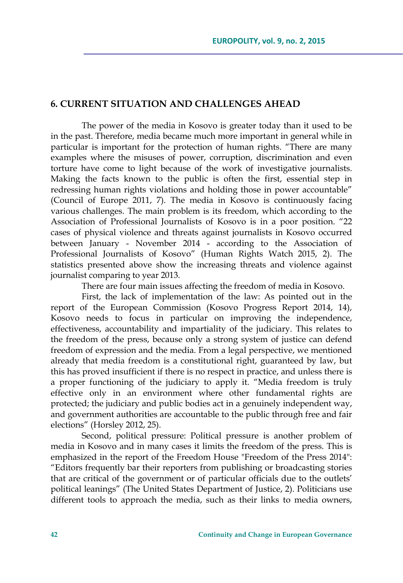# **6. CURRENT SITUATION AND CHALLENGES AHEAD**

The power of the media in Kosovo is greater today than it used to be in the past. Therefore, media became much more important in general while in particular is important for the protection of human rights. "There are many examples where the misuses of power, corruption, discrimination and even torture have come to light because of the work of investigative journalists. Making the facts known to the public is often the first, essential step in redressing human rights violations and holding those in power accountable" (Council of Europe 2011, 7). The media in Kosovo is continuously facing various challenges. The main problem is its freedom, which according to the Association of Professional Journalists of Kosovo is in a poor position. "22 cases of physical violence and threats against journalists in Kosovo occurred between January - November 2014 - according to the Association of Professional Journalists of Kosovo" (Human Rights Watch 2015, 2). The statistics presented above show the increasing threats and violence against journalist comparing to year 2013.

There are four main issues affecting the freedom of media in Kosovo.

First, the lack of implementation of the law: As pointed out in the report of the European Commission (Kosovo Progress Report 2014, 14), Kosovo needs to focus in particular on improving the independence, effectiveness, accountability and impartiality of the judiciary. This relates to the freedom of the press, because only a strong system of justice can defend freedom of expression and the media. From a legal perspective, we mentioned already that media freedom is a constitutional right, guaranteed by law, but this has proved insufficient if there is no respect in practice, and unless there is a proper functioning of the judiciary to apply it. "Media freedom is truly effective only in an environment where other fundamental rights are protected; the judiciary and public bodies act in a genuinely independent way, and government authorities are accountable to the public through free and fair elections" (Horsley 2012, 25).

Second, political pressure: Political pressure is another problem of media in Kosovo and in many cases it limits the freedom of the press. This is emphasized in the report of the Freedom House "Freedom of the Press 2014": "Editors frequently bar their reporters from publishing or broadcasting stories that are critical of the government or of particular officials due to the outlets' political leanings" (The United States Department of Justice, 2). Politicians use different tools to approach the media, such as their links to media owners,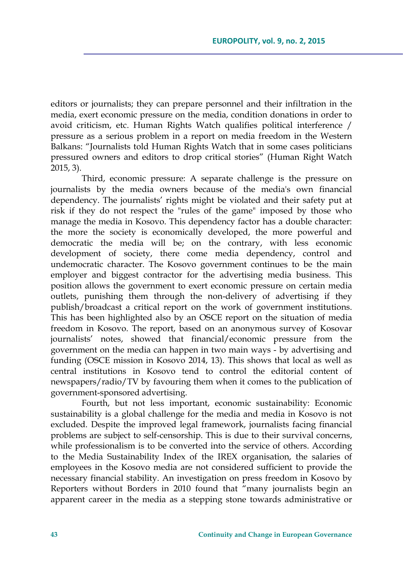editors or journalists; they can prepare personnel and their infiltration in the media, exert economic pressure on the media, condition donations in order to avoid criticism, etc. Human Rights Watch qualifies political interference / pressure as a serious problem in a report on media freedom in the Western Balkans: "Journalists told Human Rights Watch that in some cases politicians pressured owners and editors to drop critical stories" (Human Right Watch 2015, 3).

Third, economic pressure: A separate challenge is the pressure on journalists by the media owners because of the media's own financial dependency. The journalists' rights might be violated and their safety put at risk if they do not respect the "rules of the game" imposed by those who manage the media in Kosovo. This dependency factor has a double character: the more the society is economically developed, the more powerful and democratic the media will be; on the contrary, with less economic development of society, there come media dependency, control and undemocratic character. The Kosovo government continues to be the main employer and biggest contractor for the advertising media business. This position allows the government to exert economic pressure on certain media outlets, punishing them through the non-delivery of advertising if they publish/broadcast a critical report on the work of government institutions. This has been highlighted also by an OSCE report on the situation of media freedom in Kosovo. The report, based on an anonymous survey of Kosovar journalists' notes, showed that financial/economic pressure from the government on the media can happen in two main ways - by advertising and funding (OSCE mission in Kosovo 2014, 13). This shows that local as well as central institutions in Kosovo tend to control the editorial content of newspapers/radio/TV by favouring them when it comes to the publication of government-sponsored advertising.

Fourth, but not less important, economic sustainability: Economic sustainability is a global challenge for the media and media in Kosovo is not excluded. Despite the improved legal framework, journalists facing financial problems are subject to self-censorship. This is due to their survival concerns, while professionalism is to be converted into the service of others. According to the Media Sustainability Index of the IREX organisation, the salaries of employees in the Kosovo media are not considered sufficient to provide the necessary financial stability. An investigation on press freedom in Kosovo by Reporters without Borders in 2010 found that "many journalists begin an apparent career in the media as a stepping stone towards administrative or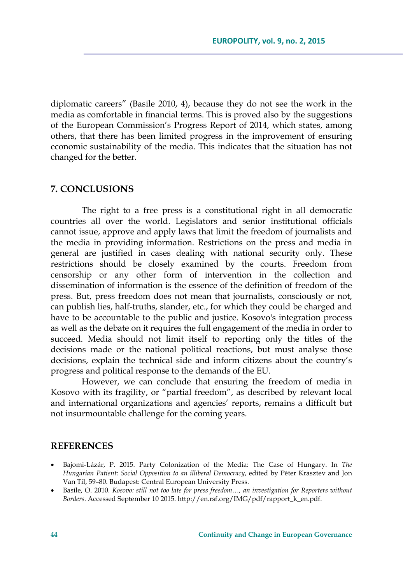diplomatic careers" (Basile 2010, 4), because they do not see the work in the media as comfortable in financial terms. This is proved also by the suggestions of the European Commission's Progress Report of 2014, which states, among others, that there has been limited progress in the improvement of ensuring economic sustainability of the media. This indicates that the situation has not changed for the better.

# **7. CONCLUSIONS**

The right to a free press is a constitutional right in all democratic countries all over the world. Legislators and senior institutional officials cannot issue, approve and apply laws that limit the freedom of journalists and the media in providing information. Restrictions on the press and media in general are justified in cases dealing with national security only. These restrictions should be closely examined by the courts. Freedom from censorship or any other form of intervention in the collection and dissemination of information is the essence of the definition of freedom of the press. But, press freedom does not mean that journalists, consciously or not, can publish lies, half-truths, slander, etc., for which they could be charged and have to be accountable to the public and justice. Kosovo's integration process as well as the debate on it requires the full engagement of the media in order to succeed. Media should not limit itself to reporting only the titles of the decisions made or the national political reactions, but must analyse those decisions, explain the technical side and inform citizens about the country's progress and political response to the demands of the EU.

However, we can conclude that ensuring the freedom of media in Kosovo with its fragility, or "partial freedom", as described by relevant local and international organizations and agencies' reports, remains a difficult but not insurmountable challenge for the coming years.

### **REFERENCES**

- Bajomi-Lázár, P. 2015. Party Colonization of the Media: The Case of Hungary. In *The Hungarian Patient: Social Opposition to an illiberal Democracy*, edited by Péter Krasztev and Jon Van Til, 59–80. Budapest: Central European University Press.
- Basile, O. 2010. *Kosovo: still not too late for press freedom…, an investigation for Reporters without Borders*. Accessed September 10 2015. http://en.rsf.org/IMG/pdf/rapport\_k\_en.pdf.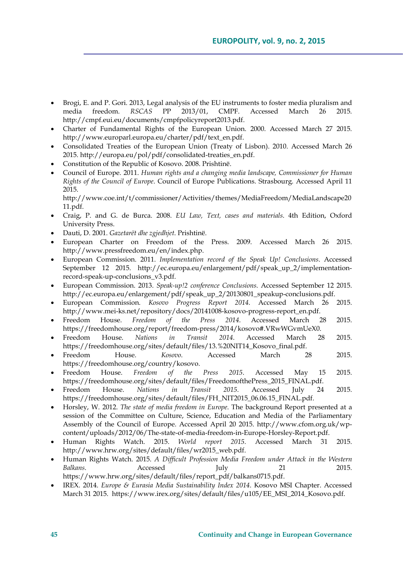- Brogi, E. and P. Gori. 2013, Legal analysis of the EU instruments to foster media pluralism and media freedom. *RSCAS* PP 2013/01, CMPF. Accessed March 26 2015. http://cmpf.eui.eu/documents/cmpfpolicyreport2013.pdf.
- Charter of Fundamental Rights of the European Union. 2000. Accessed March 27 2015. http://www.europarl.europa.eu/charter/pdf/text\_en.pdf.
- Consolidated Treaties of the European Union (Treaty of Lisbon). 2010. Accessed March 26 2015. http://europa.eu/pol/pdf/consolidated-treaties\_en.pdf.
- Constitution of the Republic of Kosovo. 2008. Prishtinë.
- Council of Europe. 2011. *Human rights and a changing media landscape, Commissioner for Human Rights of the Council of Europe*. Council of Europe Publications. Strasbourg. Accessed April 11 2015.

http://www.coe.int/t/commissioner/Activities/themes/MediaFreedom/MediaLandscape20 11.pdf.

- Craig, P. and G. de Burca. 2008. *EU Law, Text, cases and materials*. 4th Edition, Oxford University Press.
- Dauti, D. 2001. *Gazetarët dhe zgjedhjet*. Prishtinë.
- European Charter on Freedom of the Press. 2009. Accessed March 26 2015. http://www.pressfreedom.eu/en/index.php.
- European Commission. 2011. *Implementation record of the Speak Up! Conclusions*. Accessed September 12 2015. http://ec.europa.eu/enlargement/pdf/speak\_up\_2/implementationrecord-speak-up-conclusions\_v3.pdf.
- European Commission. 2013. *Speak-up!2 conference Conclusions*. Accessed September 12 2015. http://ec.europa.eu/enlargement/pdf/speak\_up\_2/20130801\_speakup-conclusions.pdf.
- European Commission. *Kosovo Progress Report 2014*. Accessed March 26 2015. http://www.mei-ks.net/repository/docs/20141008-kosovo-progress-report\_en.pdf.
- Freedom House. *Freedom of the Press 2014*. Accessed March 28 2015. https://freedomhouse.org/report/freedom-press/2014/kosovo#.VRwWGvmUeX0.
- Freedom House. *Nations in Transit 2014*. Accessed March 28 2015. https://freedomhouse.org/sites/default/files/13.%20NIT14\_Kosovo\_final.pdf.
- Freedom House. *Kosovo*. Accessed March 28 2015. https://freedomhouse.org/country/kosovo.
- Freedom House. *Freedom of the Press 2015*. Accessed May 15 2015. https://freedomhouse.org/sites/default/files/FreedomofthePress\_2015\_FINAL.pdf.
- Freedom House. *Nations in Transit 2015*. Accessed July 24 2015. https://freedomhouse.org/sites/default/files/FH\_NIT2015\_06.06.15\_FINAL.pdf.
- Horsley, W. 2012. *The state of media freedom in Europe*. The background Report presented at a session of the Committee on Culture, Science, Education and Media of the Parliamentary Assembly of the Council of Europe. Accessed April 20 2015. http://www.cfom.org.uk/wpcontent/uploads/2012/06/The-state-of-media-freedom-in-Europe-Horsley-Report.pdf.
- Human Rights Watch. 2015. *World report 2015*. Accessed March 31 2015. http://www.hrw.org/sites/default/files/wr2015\_web.pdf.
- Human Rights Watch. 2015. *A Difficult Profession Media Freedom under Attack in the Western Balkans*. Accessed July 21 2015. https://www.hrw.org/sites/default/files/report\_pdf/balkans0715.pdf.
- IREX. 2014. *Europe & Eurasia Media Sustainability Index 2014*. Kosovo MSI Chapter. Accessed March 31 2015. https://www.irex.org/sites/default/files/u105/EE\_MSI\_2014\_Kosovo.pdf.